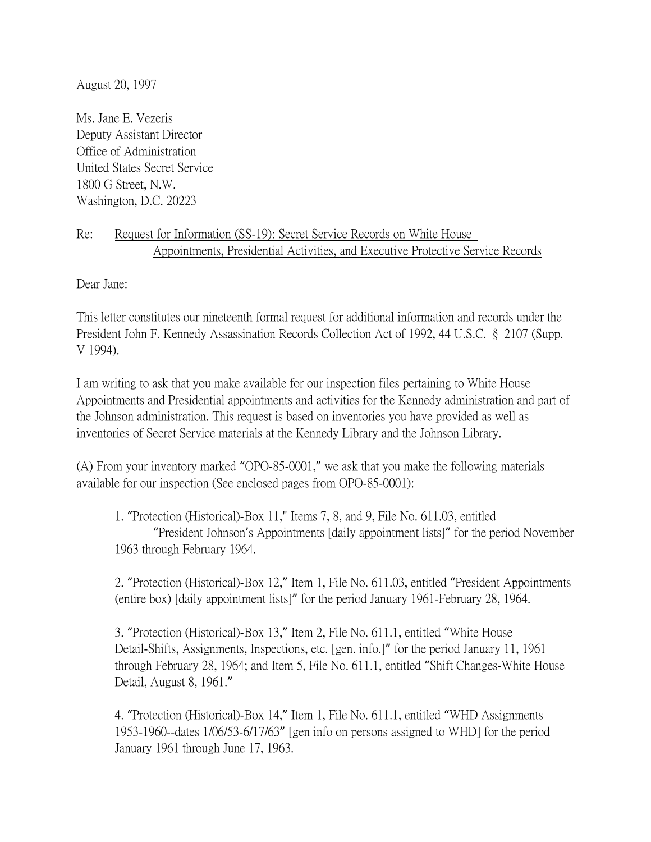August 20, 1997

Ms. Jane E. Vezeris Deputy Assistant Director Office of Administration United States Secret Service 1800 G Street, N.W. Washington, D.C. 20223

## Re: Request for Information (SS-19): Secret Service Records on White House Appointments, Presidential Activities, and Executive Protective Service Records

Dear Jane:

This letter constitutes our nineteenth formal request for additional information and records under the President John F. Kennedy Assassination Records Collection Act of 1992, 44 U.S.C. § 2107 (Supp. V 1994).

I am writing to ask that you make available for our inspection files pertaining to White House Appointments and Presidential appointments and activities for the Kennedy administration and part of the Johnson administration. This request is based on inventories you have provided as well as inventories of Secret Service materials at the Kennedy Library and the Johnson Library.

(A) From your inventory marked "OPO-85-0001," we ask that you make the following materials available for our inspection (See enclosed pages from OPO-85-0001):

1. "Protection (Historical)-Box 11," Items 7, 8, and 9, File No. 611.03, entitled "President Johnson's Appointments [daily appointment lists]" for the period November 1963 through February 1964.

2. "Protection (Historical)-Box 12," Item 1, File No. 611.03, entitled "President Appointments (entire box) [daily appointment lists]" for the period January 1961-February 28, 1964.

3. "Protection (Historical)-Box 13," Item 2, File No. 611.1, entitled "White House Detail-Shifts, Assignments, Inspections, etc. [gen. info.]" for the period January 11, 1961 through February 28, 1964; and Item 5, File No. 611.1, entitled "Shift Changes-White House Detail, August 8, 1961."

4. "Protection (Historical)-Box 14," Item 1, File No. 611.1, entitled "WHD Assignments 1953-1960--dates 1/06/53-6/17/63" [gen info on persons assigned to WHD] for the period January 1961 through June 17, 1963.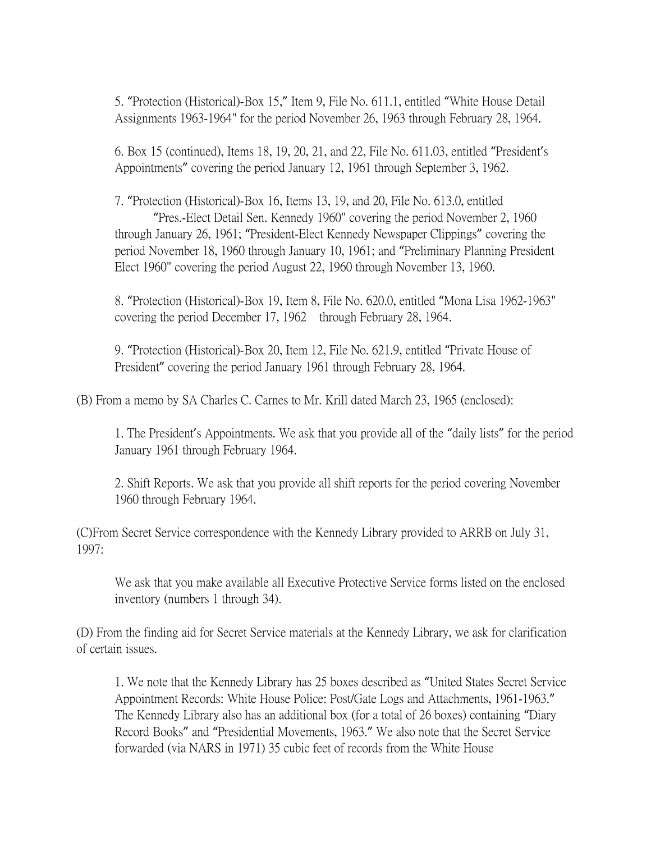5. "Protection (Historical)-Box 15," Item 9, File No. 611.1, entitled "White House Detail Assignments 1963-1964" for the period November 26, 1963 through February 28, 1964.

6. Box 15 (continued), Items 18, 19, 20, 21, and 22, File No. 611.03, entitled "President's Appointments" covering the period January 12, 1961 through September 3, 1962.

7. "Protection (Historical)-Box 16, Items 13, 19, and 20, File No. 613.0, entitled "Pres.-Elect Detail Sen. Kennedy 1960" covering the period November 2, 1960 through January 26, 1961; "President-Elect Kennedy Newspaper Clippings" covering the period November 18, 1960 through January 10, 1961; and "Preliminary Planning President Elect 1960" covering the period August 22, 1960 through November 13, 1960.

8. "Protection (Historical)-Box 19, Item 8, File No. 620.0, entitled "Mona Lisa 1962-1963" covering the period December 17, 1962 through February 28, 1964.

9. "Protection (Historical)-Box 20, Item 12, File No. 621.9, entitled "Private House of President" covering the period January 1961 through February 28, 1964.

(B) From a memo by SA Charles C. Carnes to Mr. Krill dated March 23, 1965 (enclosed):

1. The President's Appointments. We ask that you provide all of the "daily lists" for the period January 1961 through February 1964.

2. Shift Reports. We ask that you provide all shift reports for the period covering November 1960 through February 1964.

(C)From Secret Service correspondence with the Kennedy Library provided to ARRB on July 31, 1997:

We ask that you make available all Executive Protective Service forms listed on the enclosed inventory (numbers 1 through 34).

(D) From the finding aid for Secret Service materials at the Kennedy Library, we ask for clarification of certain issues.

1. We note that the Kennedy Library has 25 boxes described as "United States Secret Service Appointment Records: White House Police: Post/Gate Logs and Attachments, 1961-1963." The Kennedy Library also has an additional box (for a total of 26 boxes) containing "Diary Record Books" and "Presidential Movements, 1963." We also note that the Secret Service forwarded (via NARS in 1971) 35 cubic feet of records from the White House